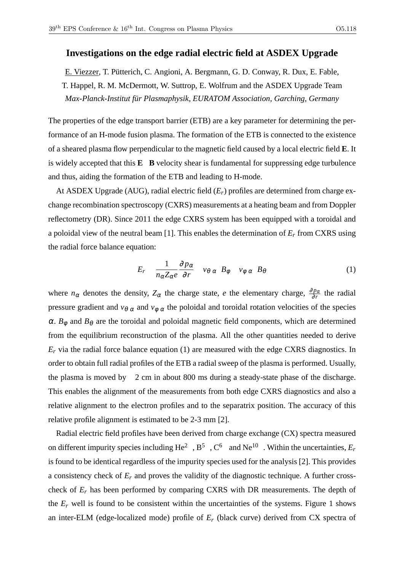## **Investigations on the edge radial electric field at ASDEX Upgrade**

E. Viezzer, T. Pütterich, C. Angioni, A. Bergmann, G. D. Conway, R. Dux, E. Fable, T. Happel, R. M. McDermott, W. Suttrop, E. Wolfrum and the ASDEX Upgrade Team *Max-Planck-Institut für Plasmaphysik, EURATOM Association, Garching, Germany*

The properties of the edge transport barrier (ETB) are a key parameter for determining the performance of an H-mode fusion plasma. The formation of the ETB is connected to the existence of a sheared plasma flow perpendicular to the magnetic field caused by a local electric field **E**. It is widely accepted that this **E B** velocity shear is fundamental for suppressing edge turbulence and thus, aiding the formation of the ETB and leading to H-mode.

At ASDEX Upgrade (AUG), radial electric field (*Er*) profiles are determined from charge exchange recombination spectroscopy (CXRS) measurements at a heating beam and from Doppler reflectometry (DR). Since 2011 the edge CXRS system has been equipped with a toroidal and a poloidal view of the neutral beam [1]. This enables the determination of *E<sup>r</sup>* from CXRS using the radial force balance equation:

$$
E_r \quad \frac{1}{n_{\alpha}Z_{\alpha}e} \frac{\partial p_{\alpha}}{\partial r} \quad v_{\theta \alpha} \quad B_{\phi} \quad v_{\phi \alpha} \quad B_{\theta} \tag{1}
$$

where  $n_{\alpha}$  denotes the density,  $Z_{\alpha}$  the charge state, *e* the elementary charge,  $\frac{\partial p_{\alpha}}{\partial r}$  the radial pressure gradient and  $v_{\theta \alpha}$  and  $v_{\phi \alpha}$  the poloidal and toroidal rotation velocities of the species  $\alpha$ .  $B_{\phi}$  and  $B_{\theta}$  are the toroidal and poloidal magnetic field components, which are determined from the equilibrium reconstruction of the plasma. All the other quantities needed to derive  $E_r$  via the radial force balance equation (1) are measured with the edge CXRS diagnostics. In order to obtain full radial profiles of the ETB a radial sweep of the plasma is performed. Usually, the plasma is moved by 2 cm in about 800 ms during a steady-state phase of the discharge. This enables the alignment of the measurements from both edge CXRS diagnostics and also a relative alignment to the electron profiles and to the separatrix position. The accuracy of this relative profile alignment is estimated to be 2-3 mm [2].

Radial electric field profiles have been derived from charge exchange (CX) spectra measured on different impurity species including  $He^2$ ,  $B^5$ ,  $C^6$  and  $Ne^{10}$ . Within the uncertainties,  $E_r$ is found to be identical regardless of the impurity species used for the analysis [2]. This provides a consistency check of  $E_r$  and proves the validity of the diagnostic technique. A further crosscheck of *E<sup>r</sup>* has been performed by comparing CXRS with DR measurements. The depth of the  $E_r$  well is found to be consistent within the uncertainties of the systems. Figure 1 shows an inter-ELM (edge-localized mode) profile of *E<sup>r</sup>* (black curve) derived from CX spectra of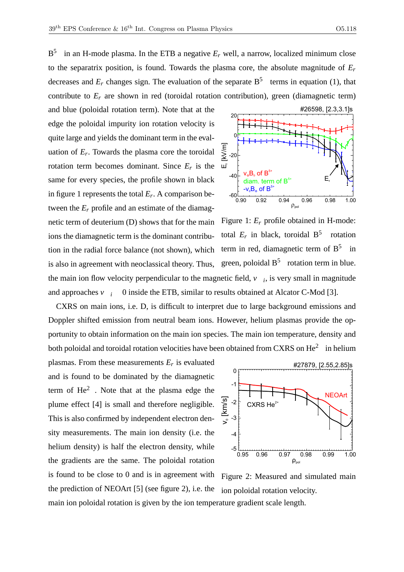$B^5$ in an H-mode plasma. In the ETB a negative  $E_r$  well, a narrow, localized minimum close to the separatrix position, is found. Towards the plasma core, the absolute magnitude of *E<sup>r</sup>* decreases and  $E_r$  changes sign. The evaluation of the separate  $B^5$  terms in equation (1), that contribute to  $E_r$  are shown in red (toroidal rotation contribution), green (diamagnetic term)

and blue (poloidal rotation term). Note that at the edge the poloidal impurity ion rotation velocity is quite large and yields the dominant term in the evaluation of  $E_r$ . Towards the plasma core the toroidal rotation term becomes dominant. Since  $E_r$  is the same for every species, the profile shown in black in figure 1 represents the total *E<sup>r</sup>* . A comparison between the  $E_r$  profile and an estimate of the diamagnetic term of deuterium (D) shows that for the main ions the diamagnetic term is the dominant contribution in the radial force balance (not shown), which is also in agreement with neoclassical theory. Thus, the main ion flow velocity perpendicular to the magnetic field,  $v_i$ , is very small in magnitude and approaches  $v_i$  0 inside the ETB, similar to results obtained at Alcator C-Mod [3].



Figure 1: *E<sup>r</sup>* profile obtained in H-mode: total  $E_r$  in black, toroidal  $B^5$  rotation term in red, diamagnetic term of  $B^5$  in green, poloidal  $B^5$  rotation term in blue.

CXRS on main ions, i.e. D, is difficult to interpret due to large background emissions and Doppler shifted emission from neutral beam ions. However, helium plasmas provide the opportunity to obtain information on the main ion species. The main ion temperature, density and both poloidal and toroidal rotation velocities have been obtained from CXRS on He $^2$  in helium

plasmas. From these measurements *E<sup>r</sup>* is evaluated and is found to be dominated by the diamagnetic term of  $He<sup>2</sup>$  . Note that at the plasma edge the plume effect [4] is small and therefore negligible. This is also confirmed by independent electron density measurements. The main ion density (i.e. the helium density) is half the electron density, while the gradients are the same. The poloidal rotation is found to be close to 0 and is in agreement with the prediction of NEOArt [5] (see figure 2), i.e. the main ion poloidal rotation is given by the ion temperature gradient scale length.



Figure 2: Measured and simulated main ion poloidal rotation velocity.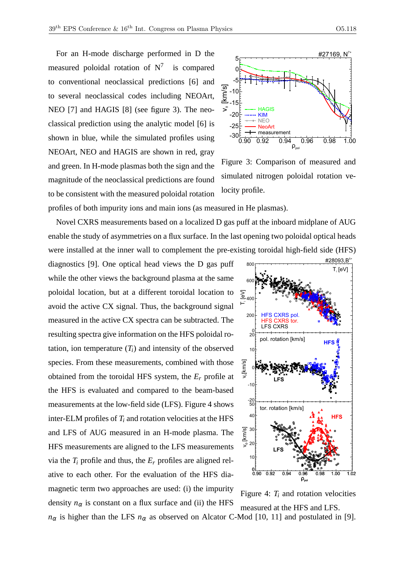For an H-mode discharge performed in D the measured poloidal rotation of  $N^7$  is compared to conventional neoclassical predictions [6] and to several neoclassical codes including NEOArt, NEO [7] and HAGIS [8] (see figure 3). The neoclassical prediction using the analytic model [6] is shown in blue, while the simulated profiles using NEOArt, NEO and HAGIS are shown in red, gray and green. In H-mode plasmas both the sign and the magnitude of the neoclassical predictions are found to be consistent with the measured poloidal rotation



Figure 3: Comparison of measured and simulated nitrogen poloidal rotation velocity profile.

profiles of both impurity ions and main ions (as measured in He plasmas).

Novel CXRS measurements based on a localized D gas puff at the inboard midplane of AUG enable the study of asymmetries on a flux surface. In the last opening two poloidal optical heads were installed at the inner wall to complement the pre-existing toroidal high-field side (HFS)

diagnostics [9]. One optical head views the D gas puff while the other views the background plasma at the same poloidal location, but at a different toroidal location to avoid the active CX signal. Thus, the background signal measured in the active CX spectra can be subtracted. The resulting spectra give information on the HFS poloidal rotation, ion temperature  $(T_i)$  and intensity of the observed species. From these measurements, combined with those obtained from the toroidal HFS system, the *E<sup>r</sup>* profile at the HFS is evaluated and compared to the beam-based measurements at the low-field side (LFS). Figure 4 shows inter-ELM profiles of  $T_i$  and rotation velocities at the HFS and LFS of AUG measured in an H-mode plasma. The HFS measurements are aligned to the LFS measurements via the  $T_i$  profile and thus, the  $E_r$  profiles are aligned relative to each other. For the evaluation of the HFS diamagnetic term two approaches are used: (i) the impurity density  $n_{\alpha}$  is constant on a flux surface and (ii) the HFS



Figure 4:  $T_i$  and rotation velocities measured at the HFS and LFS.

 $n_{\alpha}$  is higher than the LFS  $n_{\alpha}$  as observed on Alcator C-Mod [10, 11] and postulated in [9].